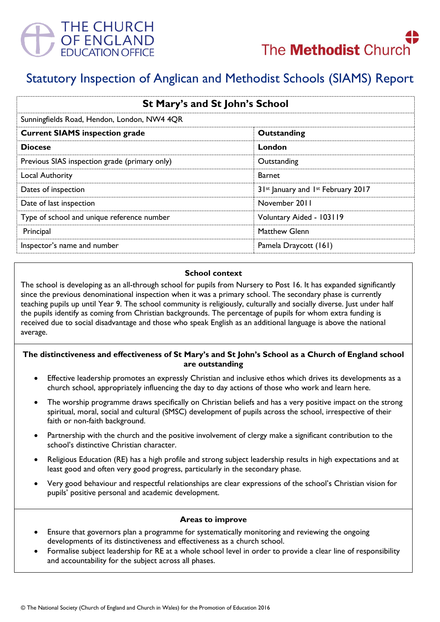



# Statutory Inspection of Anglican and Methodist Schools (SIAMS) Report

| St Mary's and St John's School<br>Sunningfields Road, Hendon, London, NW4 4QR |                                    |
|-------------------------------------------------------------------------------|------------------------------------|
|                                                                               |                                    |
| <b>Diocese</b>                                                                | London                             |
| Previous SIAS inspection grade (primary only)                                 | Outstanding                        |
| Local Authority                                                               | <b>Barnet</b>                      |
| Dates of inspection                                                           | 31st January and 1st February 2017 |
| Date of last inspection                                                       | November 2011                      |
| Type of school and unique reference number                                    | Voluntary Aided - 103119           |
| Principal                                                                     | Matthew Glenn                      |
| Inspector's name and number                                                   | Pamela Draycott (161)              |

#### **School context**

The school is developing as an all-through school for pupils from Nursery to Post 16. It has expanded significantly since the previous denominational inspection when it was a primary school. The secondary phase is currently teaching pupils up until Year 9. The school community is religiously, culturally and socially diverse. Just under half the pupils identify as coming from Christian backgrounds. The percentage of pupils for whom extra funding is received due to social disadvantage and those who speak English as an additional language is above the national average.

### **The distinctiveness and effectiveness of St Mary's and St John's School as a Church of England school are outstanding**

- Effective leadership promotes an expressly Christian and inclusive ethos which drives its developments as a church school, appropriately influencing the day to day actions of those who work and learn here.
- The worship programme draws specifically on Christian beliefs and has a very positive impact on the strong spiritual, moral, social and cultural (SMSC) development of pupils across the school, irrespective of their faith or non-faith background.
- Partnership with the church and the positive involvement of clergy make a significant contribution to the school's distinctive Christian character.
- Religious Education (RE) has a high profile and strong subject leadership results in high expectations and at least good and often very good progress, particularly in the secondary phase.
- Very good behaviour and respectful relationships are clear expressions of the school's Christian vision for pupils' positive personal and academic development.

### **Areas to improve**

- Ensure that governors plan a programme for systematically monitoring and reviewing the ongoing developments of its distinctiveness and effectiveness as a church school.
- Formalise subject leadership for RE at a whole school level in order to provide a clear line of responsibility and accountability for the subject across all phases.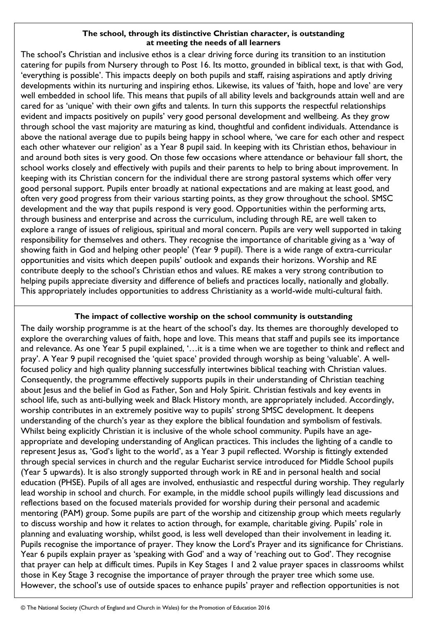### **The school, through its distinctive Christian character, is outstanding at meeting the needs of all learners**

The school's Christian and inclusive ethos is a clear driving force during its transition to an institution catering for pupils from Nursery through to Post 16. Its motto, grounded in biblical text, is that with God, 'everything is possible'. This impacts deeply on both pupils and staff, raising aspirations and aptly driving developments within its nurturing and inspiring ethos. Likewise, its values of 'faith, hope and love' are very well embedded in school life. This means that pupils of all ability levels and backgrounds attain well and are cared for as 'unique' with their own gifts and talents. In turn this supports the respectful relationships evident and impacts positively on pupils' very good personal development and wellbeing. As they grow through school the vast majority are maturing as kind, thoughtful and confident individuals. Attendance is above the national average due to pupils being happy in school where, 'we care for each other and respect each other whatever our religion' as a Year 8 pupil said. In keeping with its Christian ethos, behaviour in and around both sites is very good. On those few occasions where attendance or behaviour fall short, the school works closely and effectively with pupils and their parents to help to bring about improvement. In keeping with its Christian concern for the individual there are strong pastoral systems which offer very good personal support. Pupils enter broadly at national expectations and are making at least good, and often very good progress from their various starting points, as they grow throughout the school. SMSC development and the way that pupils respond is very good. Opportunities within the performing arts, through business and enterprise and across the curriculum, including through RE, are well taken to explore a range of issues of religious, spiritual and moral concern. Pupils are very well supported in taking responsibility for themselves and others. They recognise the importance of charitable giving as a 'way of showing faith in God and helping other people' (Year 9 pupil). There is a wide range of extra-curricular opportunities and visits which deepen pupils' outlook and expands their horizons. Worship and RE contribute deeply to the school's Christian ethos and values. RE makes a very strong contribution to helping pupils appreciate diversity and difference of beliefs and practices locally, nationally and globally. This appropriately includes opportunities to address Christianity as a world-wide multi-cultural faith.

## **The impact of collective worship on the school community is outstanding**

The daily worship programme is at the heart of the school's day. Its themes are thoroughly developed to explore the overarching values of faith, hope and love. This means that staff and pupils see its importance and relevance. As one Year 5 pupil explained, '…it is a time when we are together to think and reflect and pray'. A Year 9 pupil recognised the 'quiet space' provided through worship as being 'valuable'. A wellfocused policy and high quality planning successfully intertwines biblical teaching with Christian values. Consequently, the programme effectively supports pupils in their understanding of Christian teaching about Jesus and the belief in God as Father, Son and Holy Spirit. Christian festivals and key events in school life, such as anti-bullying week and Black History month, are appropriately included. Accordingly, worship contributes in an extremely positive way to pupils' strong SMSC development. It deepens understanding of the church's year as they explore the biblical foundation and symbolism of festivals. Whilst being explicitly Christian it is inclusive of the whole school community. Pupils have an ageappropriate and developing understanding of Anglican practices. This includes the lighting of a candle to represent Jesus as, 'God's light to the world', as a Year 3 pupil reflected. Worship is fittingly extended through special services in church and the regular Eucharist service introduced for Middle School pupils (Year 5 upwards). It is also strongly supported through work in RE and in personal health and social education (PHSE). Pupils of all ages are involved, enthusiastic and respectful during worship. They regularly lead worship in school and church. For example, in the middle school pupils willingly lead discussions and reflections based on the focused materials provided for worship during their personal and academic mentoring (PAM) group. Some pupils are part of the worship and citizenship group which meets regularly to discuss worship and how it relates to action through, for example, charitable giving. Pupils' role in planning and evaluating worship, whilst good, is less well developed than their involvement in leading it. Pupils recognise the importance of prayer. They know the Lord's Prayer and its significance for Christians. Year 6 pupils explain prayer as 'speaking with God' and a way of 'reaching out to God'. They recognise that prayer can help at difficult times. Pupils in Key Stages 1 and 2 value prayer spaces in classrooms whilst those in Key Stage 3 recognise the importance of prayer through the prayer tree which some use. However, the school's use of outside spaces to enhance pupils' prayer and reflection opportunities is not